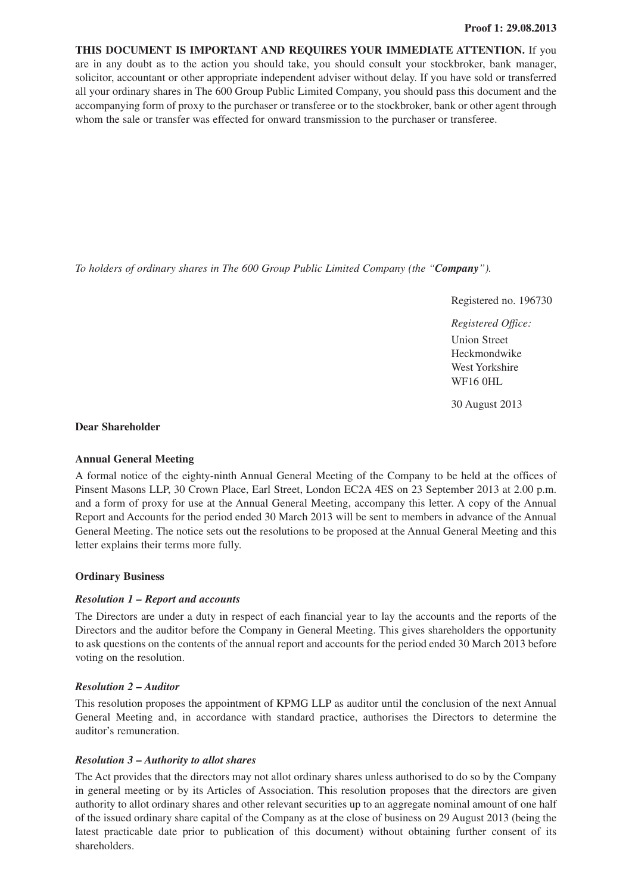**THIS DOCUMENT IS IMPORTANT AND REQUIRES YOUR IMMEDIATE ATTENTION.** If you are in any doubt as to the action you should take, you should consult your stockbroker, bank manager, solicitor, accountant or other appropriate independent adviser without delay. If you have sold or transferred all your ordinary shares in The 600 Group Public Limited Company, you should pass this document and the accompanying form of proxy to the purchaser or transferee or to the stockbroker, bank or other agent through whom the sale or transfer was effected for onward transmission to the purchaser or transferee.

*To holders of ordinary shares in The 600 Group Public Limited Company (the "Company").*

Registered no. 196730

*Registered Office:* Union Street Heckmondwike West Yorkshire WF16 0HL

30 August 2013

#### **Dear Shareholder**

#### **Annual General Meeting**

A formal notice of the eighty-ninth Annual General Meeting of the Company to be held at the offices of Pinsent Masons LLP, 30 Crown Place, Earl Street, London EC2A 4ES on 23 September 2013 at 2.00 p.m. and a form of proxy for use at the Annual General Meeting, accompany this letter. A copy of the Annual Report and Accounts for the period ended 30 March 2013 will be sent to members in advance of the Annual General Meeting. The notice sets out the resolutions to be proposed at the Annual General Meeting and this letter explains their terms more fully.

#### **Ordinary Business**

# *Resolution 1 – Report and accounts*

The Directors are under a duty in respect of each financial year to lay the accounts and the reports of the Directors and the auditor before the Company in General Meeting. This gives shareholders the opportunity to ask questions on the contents of the annual report and accounts for the period ended 30 March 2013 before voting on the resolution.

# *Resolution 2 – Auditor*

This resolution proposes the appointment of KPMG LLP as auditor until the conclusion of the next Annual General Meeting and, in accordance with standard practice, authorises the Directors to determine the auditor's remuneration.

# *Resolution 3 – Authority to allot shares*

The Act provides that the directors may not allot ordinary shares unless authorised to do so by the Company in general meeting or by its Articles of Association. This resolution proposes that the directors are given authority to allot ordinary shares and other relevant securities up to an aggregate nominal amount of one half of the issued ordinary share capital of the Company as at the close of business on 29 August 2013 (being the latest practicable date prior to publication of this document) without obtaining further consent of its shareholders.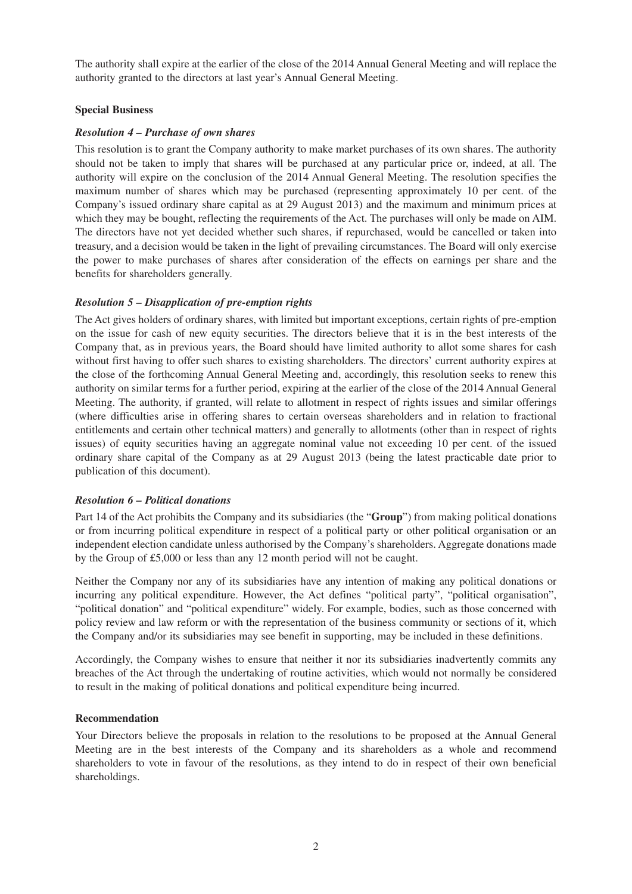The authority shall expire at the earlier of the close of the 2014 Annual General Meeting and will replace the authority granted to the directors at last year's Annual General Meeting.

#### **Special Business**

#### *Resolution 4 – Purchase of own shares*

This resolution is to grant the Company authority to make market purchases of its own shares. The authority should not be taken to imply that shares will be purchased at any particular price or, indeed, at all. The authority will expire on the conclusion of the 2014 Annual General Meeting. The resolution specifies the maximum number of shares which may be purchased (representing approximately 10 per cent. of the Company's issued ordinary share capital as at 29 August 2013) and the maximum and minimum prices at which they may be bought, reflecting the requirements of the Act. The purchases will only be made on AIM. The directors have not yet decided whether such shares, if repurchased, would be cancelled or taken into treasury, and a decision would be taken in the light of prevailing circumstances. The Board will only exercise the power to make purchases of shares after consideration of the effects on earnings per share and the benefits for shareholders generally.

# *Resolution 5 – Disapplication of pre-emption rights*

The Act gives holders of ordinary shares, with limited but important exceptions, certain rights of pre-emption on the issue for cash of new equity securities. The directors believe that it is in the best interests of the Company that, as in previous years, the Board should have limited authority to allot some shares for cash without first having to offer such shares to existing shareholders. The directors' current authority expires at the close of the forthcoming Annual General Meeting and, accordingly, this resolution seeks to renew this authority on similar terms for a further period, expiring at the earlier of the close of the 2014 Annual General Meeting. The authority, if granted, will relate to allotment in respect of rights issues and similar offerings (where difficulties arise in offering shares to certain overseas shareholders and in relation to fractional entitlements and certain other technical matters) and generally to allotments (other than in respect of rights issues) of equity securities having an aggregate nominal value not exceeding 10 per cent. of the issued ordinary share capital of the Company as at 29 August 2013 (being the latest practicable date prior to publication of this document).

# *Resolution 6 – Political donations*

Part 14 of the Act prohibits the Company and its subsidiaries (the "**Group**") from making political donations or from incurring political expenditure in respect of a political party or other political organisation or an independent election candidate unless authorised by the Company's shareholders. Aggregate donations made by the Group of £5,000 or less than any 12 month period will not be caught.

Neither the Company nor any of its subsidiaries have any intention of making any political donations or incurring any political expenditure. However, the Act defines "political party", "political organisation", "political donation" and "political expenditure" widely. For example, bodies, such as those concerned with policy review and law reform or with the representation of the business community or sections of it, which the Company and/or its subsidiaries may see benefit in supporting, may be included in these definitions.

Accordingly, the Company wishes to ensure that neither it nor its subsidiaries inadvertently commits any breaches of the Act through the undertaking of routine activities, which would not normally be considered to result in the making of political donations and political expenditure being incurred.

#### **Recommendation**

Your Directors believe the proposals in relation to the resolutions to be proposed at the Annual General Meeting are in the best interests of the Company and its shareholders as a whole and recommend shareholders to vote in favour of the resolutions, as they intend to do in respect of their own beneficial shareholdings.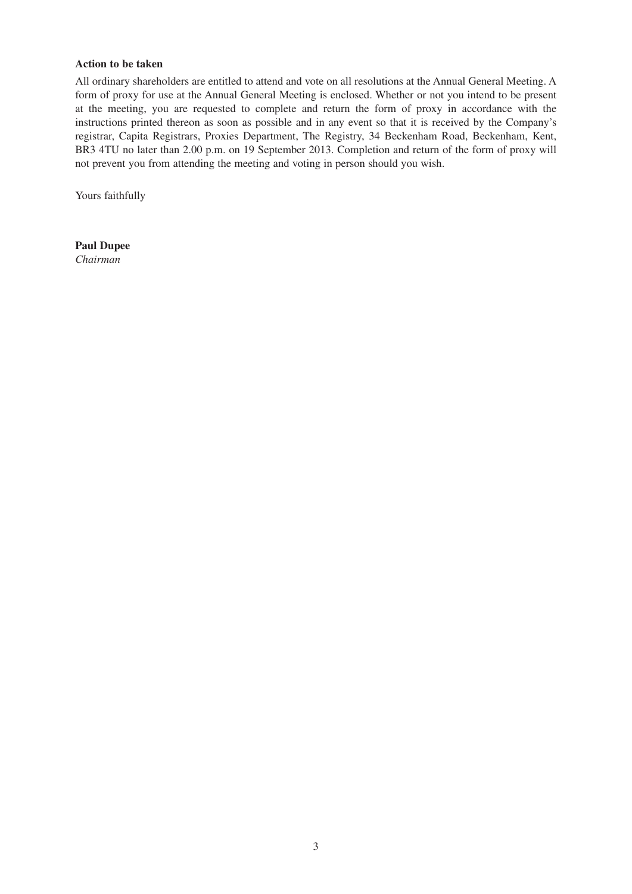#### **Action to be taken**

All ordinary shareholders are entitled to attend and vote on all resolutions at the Annual General Meeting. A form of proxy for use at the Annual General Meeting is enclosed. Whether or not you intend to be present at the meeting, you are requested to complete and return the form of proxy in accordance with the instructions printed thereon as soon as possible and in any event so that it is received by the Company's registrar, Capita Registrars, Proxies Department, The Registry, 34 Beckenham Road, Beckenham, Kent, BR3 4TU no later than 2.00 p.m. on 19 September 2013. Completion and return of the form of proxy will not prevent you from attending the meeting and voting in person should you wish.

Yours faithfully

**Paul Dupee** *Chairman*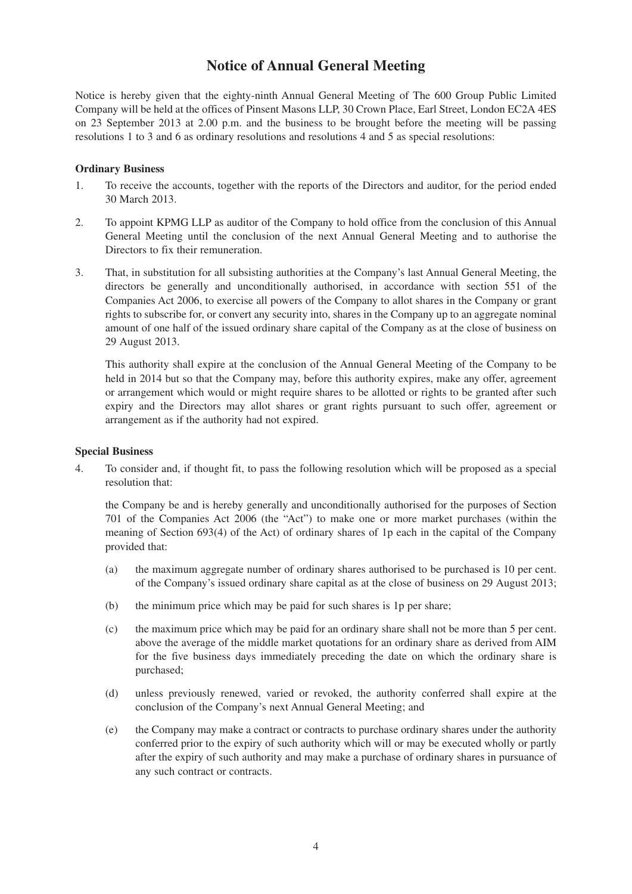# **Notice of Annual General Meeting**

Notice is hereby given that the eighty-ninth Annual General Meeting of The 600 Group Public Limited Company will be held at the offices of Pinsent Masons LLP, 30 Crown Place, Earl Street, London EC2A 4ES on 23 September 2013 at 2.00 p.m. and the business to be brought before the meeting will be passing resolutions 1 to 3 and 6 as ordinary resolutions and resolutions 4 and 5 as special resolutions:

# **Ordinary Business**

- 1. To receive the accounts, together with the reports of the Directors and auditor, for the period ended 30 March 2013.
- 2. To appoint KPMG LLP as auditor of the Company to hold office from the conclusion of this Annual General Meeting until the conclusion of the next Annual General Meeting and to authorise the Directors to fix their remuneration.
- 3. That, in substitution for all subsisting authorities at the Company's last Annual General Meeting, the directors be generally and unconditionally authorised, in accordance with section 551 of the Companies Act 2006, to exercise all powers of the Company to allot shares in the Company or grant rights to subscribe for, or convert any security into, shares in the Company up to an aggregate nominal amount of one half of the issued ordinary share capital of the Company as at the close of business on 29 August 2013.

This authority shall expire at the conclusion of the Annual General Meeting of the Company to be held in 2014 but so that the Company may, before this authority expires, make any offer, agreement or arrangement which would or might require shares to be allotted or rights to be granted after such expiry and the Directors may allot shares or grant rights pursuant to such offer, agreement or arrangement as if the authority had not expired.

#### **Special Business**

4. To consider and, if thought fit, to pass the following resolution which will be proposed as a special resolution that:

the Company be and is hereby generally and unconditionally authorised for the purposes of Section 701 of the Companies Act 2006 (the "Act") to make one or more market purchases (within the meaning of Section 693(4) of the Act) of ordinary shares of 1p each in the capital of the Company provided that:

- (a) the maximum aggregate number of ordinary shares authorised to be purchased is 10 per cent. of the Company's issued ordinary share capital as at the close of business on 29 August 2013;
- (b) the minimum price which may be paid for such shares is 1p per share;
- (c) the maximum price which may be paid for an ordinary share shall not be more than 5 per cent. above the average of the middle market quotations for an ordinary share as derived from AIM for the five business days immediately preceding the date on which the ordinary share is purchased;
- (d) unless previously renewed, varied or revoked, the authority conferred shall expire at the conclusion of the Company's next Annual General Meeting; and
- (e) the Company may make a contract or contracts to purchase ordinary shares under the authority conferred prior to the expiry of such authority which will or may be executed wholly or partly after the expiry of such authority and may make a purchase of ordinary shares in pursuance of any such contract or contracts.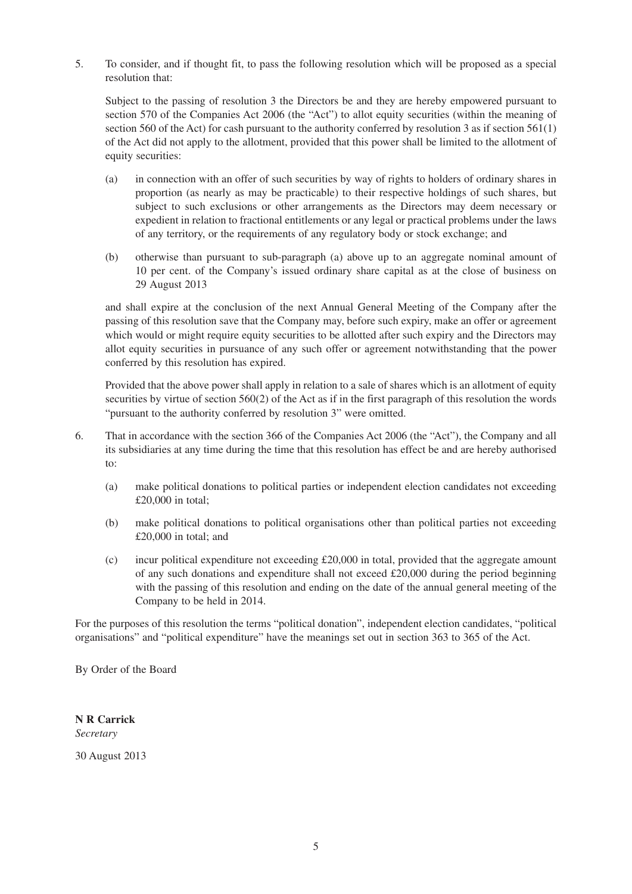5. To consider, and if thought fit, to pass the following resolution which will be proposed as a special resolution that:

Subject to the passing of resolution 3 the Directors be and they are hereby empowered pursuant to section 570 of the Companies Act 2006 (the "Act") to allot equity securities (within the meaning of section 560 of the Act) for cash pursuant to the authority conferred by resolution 3 as if section 561(1) of the Act did not apply to the allotment, provided that this power shall be limited to the allotment of equity securities:

- (a) in connection with an offer of such securities by way of rights to holders of ordinary shares in proportion (as nearly as may be practicable) to their respective holdings of such shares, but subject to such exclusions or other arrangements as the Directors may deem necessary or expedient in relation to fractional entitlements or any legal or practical problems under the laws of any territory, or the requirements of any regulatory body or stock exchange; and
- (b) otherwise than pursuant to sub-paragraph (a) above up to an aggregate nominal amount of 10 per cent. of the Company's issued ordinary share capital as at the close of business on 29 August 2013

and shall expire at the conclusion of the next Annual General Meeting of the Company after the passing of this resolution save that the Company may, before such expiry, make an offer or agreement which would or might require equity securities to be allotted after such expiry and the Directors may allot equity securities in pursuance of any such offer or agreement notwithstanding that the power conferred by this resolution has expired.

Provided that the above power shall apply in relation to a sale of shares which is an allotment of equity securities by virtue of section 560(2) of the Act as if in the first paragraph of this resolution the words "pursuant to the authority conferred by resolution 3" were omitted.

- 6. That in accordance with the section 366 of the Companies Act 2006 (the "Act"), the Company and all its subsidiaries at any time during the time that this resolution has effect be and are hereby authorised to:
	- (a) make political donations to political parties or independent election candidates not exceeding £20,000 in total;
	- (b) make political donations to political organisations other than political parties not exceeding £20,000 in total; and
	- (c) incur political expenditure not exceeding £20,000 in total, provided that the aggregate amount of any such donations and expenditure shall not exceed £20,000 during the period beginning with the passing of this resolution and ending on the date of the annual general meeting of the Company to be held in 2014.

For the purposes of this resolution the terms "political donation", independent election candidates, "political organisations" and "political expenditure" have the meanings set out in section 363 to 365 of the Act.

By Order of the Board

**N R Carrick** *Secretary*

30 August 2013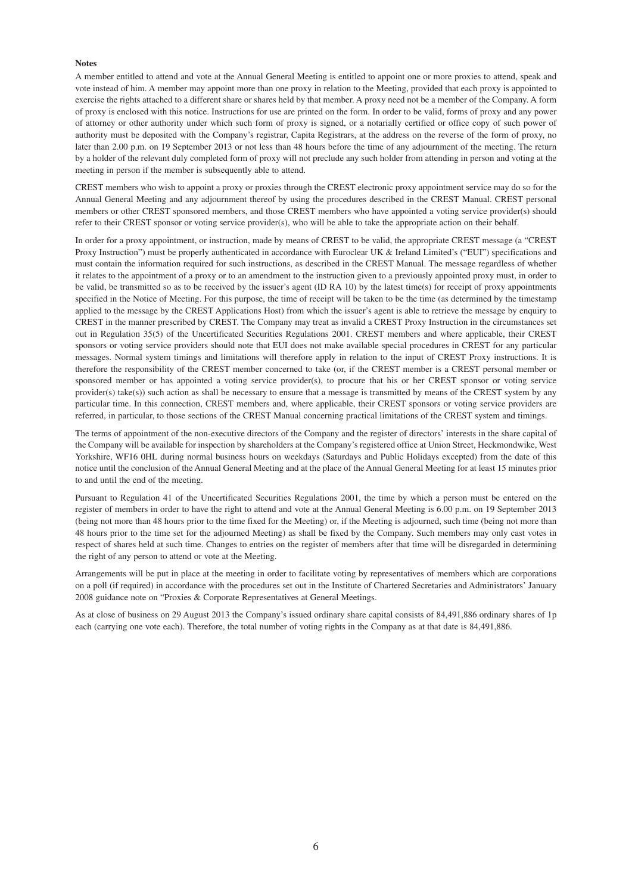#### **Notes**

A member entitled to attend and vote at the Annual General Meeting is entitled to appoint one or more proxies to attend, speak and vote instead of him. A member may appoint more than one proxy in relation to the Meeting, provided that each proxy is appointed to exercise the rights attached to a different share or shares held by that member. A proxy need not be a member of the Company. A form of proxy is enclosed with this notice. Instructions for use are printed on the form. In order to be valid, forms of proxy and any power of attorney or other authority under which such form of proxy is signed, or a notarially certified or office copy of such power of authority must be deposited with the Company's registrar, Capita Registrars, at the address on the reverse of the form of proxy, no later than 2.00 p.m. on 19 September 2013 or not less than 48 hours before the time of any adjournment of the meeting. The return by a holder of the relevant duly completed form of proxy will not preclude any such holder from attending in person and voting at the meeting in person if the member is subsequently able to attend.

CREST members who wish to appoint a proxy or proxies through the CREST electronic proxy appointment service may do so for the Annual General Meeting and any adjournment thereof by using the procedures described in the CREST Manual. CREST personal members or other CREST sponsored members, and those CREST members who have appointed a voting service provider(s) should refer to their CREST sponsor or voting service provider(s), who will be able to take the appropriate action on their behalf.

In order for a proxy appointment, or instruction, made by means of CREST to be valid, the appropriate CREST message (a "CREST Proxy Instruction") must be properly authenticated in accordance with Euroclear UK & Ireland Limited's ("EUI") specifications and must contain the information required for such instructions, as described in the CREST Manual. The message regardless of whether it relates to the appointment of a proxy or to an amendment to the instruction given to a previously appointed proxy must, in order to be valid, be transmitted so as to be received by the issuer's agent (ID RA 10) by the latest time(s) for receipt of proxy appointments specified in the Notice of Meeting. For this purpose, the time of receipt will be taken to be the time (as determined by the timestamp applied to the message by the CREST Applications Host) from which the issuer's agent is able to retrieve the message by enquiry to CREST in the manner prescribed by CREST. The Company may treat as invalid a CREST Proxy Instruction in the circumstances set out in Regulation 35(5) of the Uncertificated Securities Regulations 2001. CREST members and where applicable, their CREST sponsors or voting service providers should note that EUI does not make available special procedures in CREST for any particular messages. Normal system timings and limitations will therefore apply in relation to the input of CREST Proxy instructions. It is therefore the responsibility of the CREST member concerned to take (or, if the CREST member is a CREST personal member or sponsored member or has appointed a voting service provider(s), to procure that his or her CREST sponsor or voting service provider(s) take(s)) such action as shall be necessary to ensure that a message is transmitted by means of the CREST system by any particular time. In this connection, CREST members and, where applicable, their CREST sponsors or voting service providers are referred, in particular, to those sections of the CREST Manual concerning practical limitations of the CREST system and timings.

The terms of appointment of the non-executive directors of the Company and the register of directors' interests in the share capital of the Company will be available for inspection by shareholders at the Company's registered office at Union Street, Heckmondwike, West Yorkshire, WF16 0HL during normal business hours on weekdays (Saturdays and Public Holidays excepted) from the date of this notice until the conclusion of the Annual General Meeting and at the place of the Annual General Meeting for at least 15 minutes prior to and until the end of the meeting.

Pursuant to Regulation 41 of the Uncertificated Securities Regulations 2001, the time by which a person must be entered on the register of members in order to have the right to attend and vote at the Annual General Meeting is 6.00 p.m. on 19 September 2013 (being not more than 48 hours prior to the time fixed for the Meeting) or, if the Meeting is adjourned, such time (being not more than 48 hours prior to the time set for the adjourned Meeting) as shall be fixed by the Company. Such members may only cast votes in respect of shares held at such time. Changes to entries on the register of members after that time will be disregarded in determining the right of any person to attend or vote at the Meeting.

Arrangements will be put in place at the meeting in order to facilitate voting by representatives of members which are corporations on a poll (if required) in accordance with the procedures set out in the Institute of Chartered Secretaries and Administrators' January 2008 guidance note on "Proxies & Corporate Representatives at General Meetings.

As at close of business on 29 August 2013 the Company's issued ordinary share capital consists of 84,491,886 ordinary shares of 1p each (carrying one vote each). Therefore, the total number of voting rights in the Company as at that date is 84,491,886.